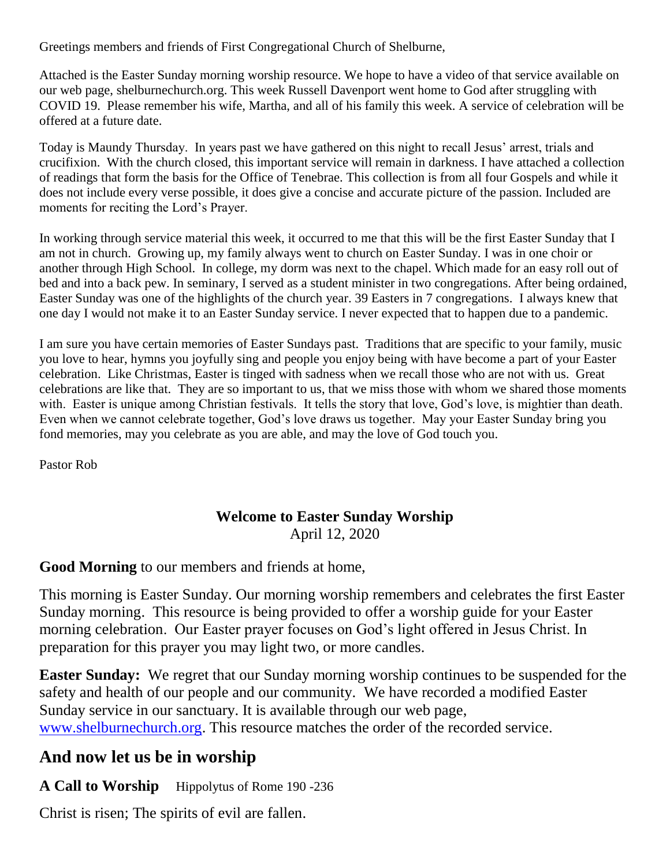Greetings members and friends of First Congregational Church of Shelburne,

Attached is the Easter Sunday morning worship resource. We hope to have a video of that service available on our web page, shelburnechurch.org. This week Russell Davenport went home to God after struggling with COVID 19. Please remember his wife, Martha, and all of his family this week. A service of celebration will be offered at a future date.

Today is Maundy Thursday. In years past we have gathered on this night to recall Jesus' arrest, trials and crucifixion. With the church closed, this important service will remain in darkness. I have attached a collection of readings that form the basis for the Office of Tenebrae. This collection is from all four Gospels and while it does not include every verse possible, it does give a concise and accurate picture of the passion. Included are moments for reciting the Lord's Prayer.

In working through service material this week, it occurred to me that this will be the first Easter Sunday that I am not in church. Growing up, my family always went to church on Easter Sunday. I was in one choir or another through High School. In college, my dorm was next to the chapel. Which made for an easy roll out of bed and into a back pew. In seminary, I served as a student minister in two congregations. After being ordained, Easter Sunday was one of the highlights of the church year. 39 Easters in 7 congregations. I always knew that one day I would not make it to an Easter Sunday service. I never expected that to happen due to a pandemic.

I am sure you have certain memories of Easter Sundays past. Traditions that are specific to your family, music you love to hear, hymns you joyfully sing and people you enjoy being with have become a part of your Easter celebration. Like Christmas, Easter is tinged with sadness when we recall those who are not with us. Great celebrations are like that. They are so important to us, that we miss those with whom we shared those moments with. Easter is unique among Christian festivals. It tells the story that love, God's love, is mightier than death. Even when we cannot celebrate together, God's love draws us together. May your Easter Sunday bring you fond memories, may you celebrate as you are able, and may the love of God touch you.

Pastor Rob

## **Welcome to Easter Sunday Worship** April 12, 2020

### **Good Morning** to our members and friends at home,

This morning is Easter Sunday. Our morning worship remembers and celebrates the first Easter Sunday morning. This resource is being provided to offer a worship guide for your Easter morning celebration. Our Easter prayer focuses on God's light offered in Jesus Christ. In preparation for this prayer you may light two, or more candles.

**Easter Sunday:** We regret that our Sunday morning worship continues to be suspended for the safety and health of our people and our community. We have recorded a modified Easter Sunday service in our sanctuary. It is available through our web page, [www.shelburnechurch.org.](file:///C:/Users/Diantha%20and%20James/Desktop/__Church%20during%20Coronavirus/www.shelburnechurch.org) This resource matches the order of the recorded service.

# **And now let us be in worship**

A Call to Worship Hippolytus of Rome 190 -236

Christ is risen; The spirits of evil are fallen.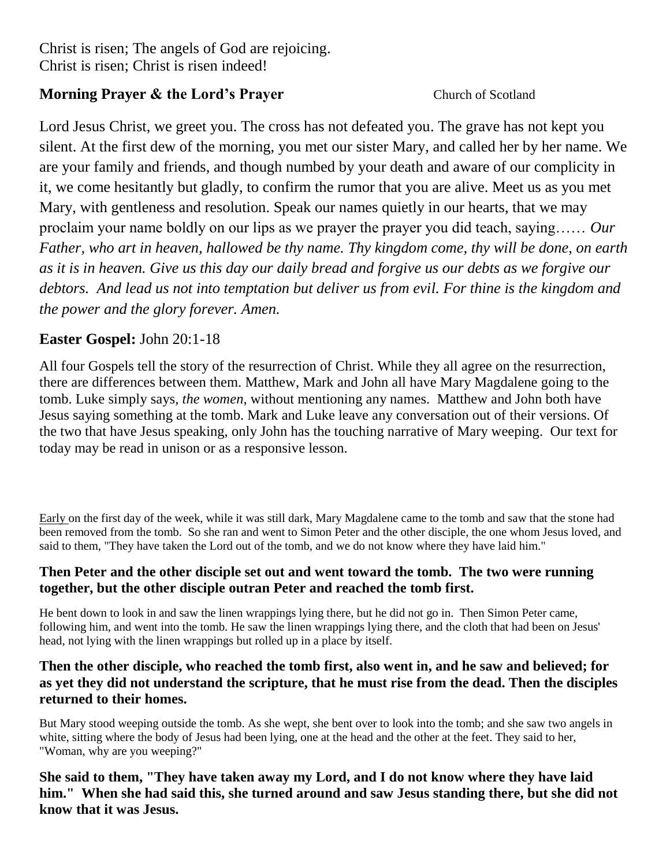# **Morning Prayer & the Lord's Prayer Church of Scotland**

Lord Jesus Christ, we greet you. The cross has not defeated you. The grave has not kept you silent. At the first dew of the morning, you met our sister Mary, and called her by her name. We are your family and friends, and though numbed by your death and aware of our complicity in it, we come hesitantly but gladly, to confirm the rumor that you are alive. Meet us as you met Mary, with gentleness and resolution. Speak our names quietly in our hearts, that we may proclaim your name boldly on our lips as we prayer the prayer you did teach, saying…… *Our Father, who art in heaven, hallowed be thy name. Thy kingdom come, thy will be done, on earth as it is in heaven. Give us this day our daily bread and forgive us our debts as we forgive our debtors. And lead us not into temptation but deliver us from evil. For thine is the kingdom and the power and the glory forever. Amen.*

## **Easter Gospel:** John 20:1-18

All four Gospels tell the story of the resurrection of Christ. While they all agree on the resurrection, there are differences between them. Matthew, Mark and John all have Mary Magdalene going to the tomb. Luke simply says*, the women*, without mentioning any names. Matthew and John both have Jesus saying something at the tomb. Mark and Luke leave any conversation out of their versions. Of the two that have Jesus speaking, only John has the touching narrative of Mary weeping. Our text for today may be read in unison or as a responsive lesson.

Early on the first day of the week, while it was still dark, Mary Magdalene came to the tomb and saw that the stone had been removed from the tomb. So she ran and went to Simon Peter and the other disciple, the one whom Jesus loved, and said to them, "They have taken the Lord out of the tomb, and we do not know where they have laid him."

#### **Then Peter and the other disciple set out and went toward the tomb. The two were running together, but the other disciple outran Peter and reached the tomb first.**

He bent down to look in and saw the linen wrappings lying there, but he did not go in. Then Simon Peter came, following him, and went into the tomb. He saw the linen wrappings lying there, and the cloth that had been on Jesus' head, not lying with the linen wrappings but rolled up in a place by itself.

#### **Then the other disciple, who reached the tomb first, also went in, and he saw and believed; for as yet they did not understand the scripture, that he must rise from the dead. Then the disciples returned to their homes.**

But Mary stood weeping outside the tomb. As she wept, she bent over to look into the tomb; and she saw two angels in white, sitting where the body of Jesus had been lying, one at the head and the other at the feet. They said to her, "Woman, why are you weeping?"

**She said to them, "They have taken away my Lord, and I do not know where they have laid him." When she had said this, she turned around and saw Jesus standing there, but she did not know that it was Jesus.**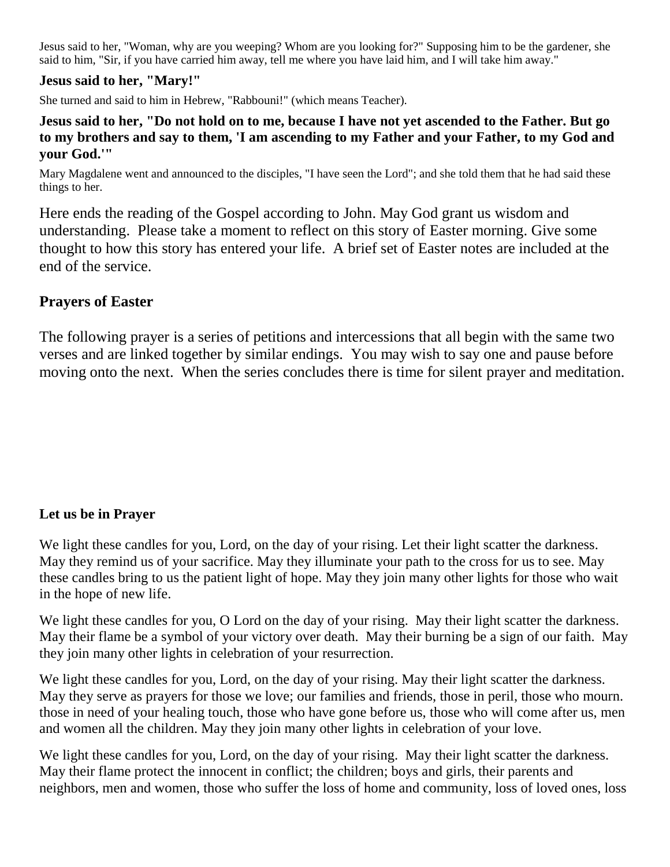Jesus said to her, "Woman, why are you weeping? Whom are you looking for?" Supposing him to be the gardener, she said to him, "Sir, if you have carried him away, tell me where you have laid him, and I will take him away."

#### **Jesus said to her, "Mary!"**

She turned and said to him in Hebrew, "Rabbouni!" (which means Teacher).

#### **Jesus said to her, "Do not hold on to me, because I have not yet ascended to the Father. But go to my brothers and say to them, 'I am ascending to my Father and your Father, to my God and your God.'"**

Mary Magdalene went and announced to the disciples, "I have seen the Lord"; and she told them that he had said these things to her.

Here ends the reading of the Gospel according to John. May God grant us wisdom and understanding. Please take a moment to reflect on this story of Easter morning. Give some thought to how this story has entered your life. A brief set of Easter notes are included at the end of the service.

## **Prayers of Easter**

The following prayer is a series of petitions and intercessions that all begin with the same two verses and are linked together by similar endings. You may wish to say one and pause before moving onto the next. When the series concludes there is time for silent prayer and meditation.

### **Let us be in Prayer**

We light these candles for you, Lord, on the day of your rising. Let their light scatter the darkness. May they remind us of your sacrifice. May they illuminate your path to the cross for us to see. May these candles bring to us the patient light of hope. May they join many other lights for those who wait in the hope of new life.

We light these candles for you, O Lord on the day of your rising. May their light scatter the darkness. May their flame be a symbol of your victory over death. May their burning be a sign of our faith. May they join many other lights in celebration of your resurrection.

We light these candles for you, Lord, on the day of your rising. May their light scatter the darkness. May they serve as prayers for those we love; our families and friends, those in peril, those who mourn. those in need of your healing touch, those who have gone before us, those who will come after us, men and women all the children. May they join many other lights in celebration of your love.

We light these candles for you, Lord, on the day of your rising. May their light scatter the darkness. May their flame protect the innocent in conflict; the children; boys and girls, their parents and neighbors, men and women, those who suffer the loss of home and community, loss of loved ones, loss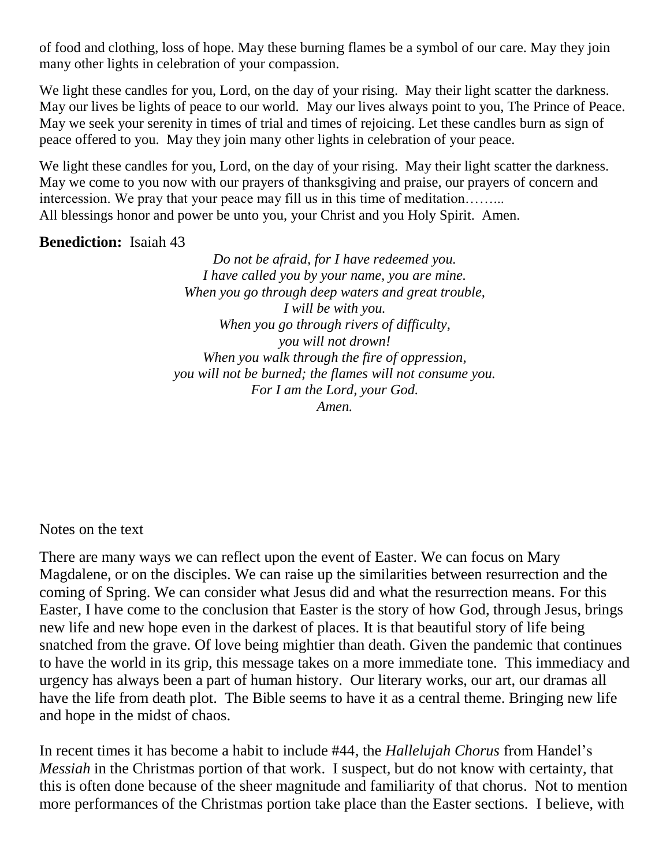of food and clothing, loss of hope. May these burning flames be a symbol of our care. May they join many other lights in celebration of your compassion.

We light these candles for you, Lord, on the day of your rising. May their light scatter the darkness. May our lives be lights of peace to our world. May our lives always point to you, The Prince of Peace. May we seek your serenity in times of trial and times of rejoicing. Let these candles burn as sign of peace offered to you. May they join many other lights in celebration of your peace.

We light these candles for you, Lord, on the day of your rising. May their light scatter the darkness. May we come to you now with our prayers of thanksgiving and praise, our prayers of concern and intercession. We pray that your peace may fill us in this time of meditation……... All blessings honor and power be unto you, your Christ and you Holy Spirit. Amen.

#### **Benediction:** Isaiah 43

*Do not be afraid, for I have redeemed you. I have called you by your name, you are mine. When you go through deep waters and great trouble, I will be with you. When you go through rivers of difficulty, you will not drown! When you walk through the fire of oppression, you will not be burned; the flames will not consume you. For I am the Lord, your God. Amen.*

Notes on the text

There are many ways we can reflect upon the event of Easter. We can focus on Mary Magdalene, or on the disciples. We can raise up the similarities between resurrection and the coming of Spring. We can consider what Jesus did and what the resurrection means. For this Easter, I have come to the conclusion that Easter is the story of how God, through Jesus, brings new life and new hope even in the darkest of places. It is that beautiful story of life being snatched from the grave. Of love being mightier than death. Given the pandemic that continues to have the world in its grip, this message takes on a more immediate tone. This immediacy and urgency has always been a part of human history. Our literary works, our art, our dramas all have the life from death plot. The Bible seems to have it as a central theme. Bringing new life and hope in the midst of chaos.

In recent times it has become a habit to include #44, the *Hallelujah Chorus* from Handel's *Messiah* in the Christmas portion of that work. I suspect, but do not know with certainty, that this is often done because of the sheer magnitude and familiarity of that chorus. Not to mention more performances of the Christmas portion take place than the Easter sections. I believe, with